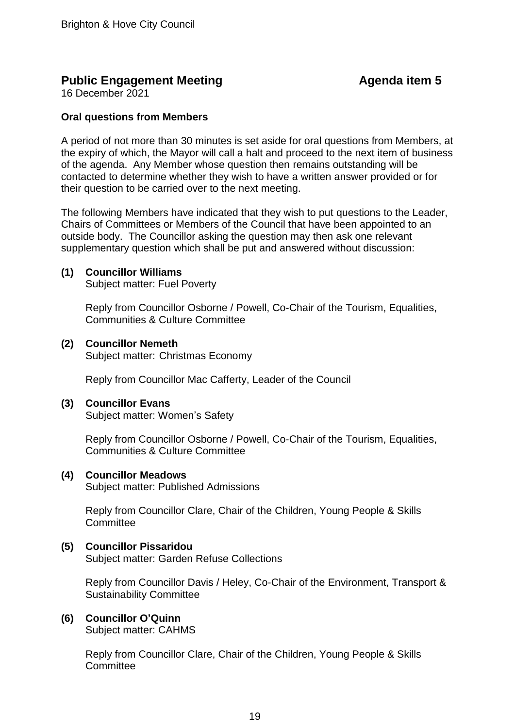# **Public Engagement Meeting Agenda item 5**

16 December 2021

# **Oral questions from Members**

A period of not more than 30 minutes is set aside for oral questions from Members, at the expiry of which, the Mayor will call a halt and proceed to the next item of business of the agenda. Any Member whose question then remains outstanding will be contacted to determine whether they wish to have a written answer provided or for their question to be carried over to the next meeting.

The following Members have indicated that they wish to put questions to the Leader, Chairs of Committees or Members of the Council that have been appointed to an outside body. The Councillor asking the question may then ask one relevant supplementary question which shall be put and answered without discussion:

# **(1) Councillor Williams**

Subject matter: Fuel Poverty

Reply from Councillor Osborne / Powell, Co-Chair of the Tourism, Equalities, Communities & Culture Committee

# **(2) Councillor Nemeth** Subject matter: Christmas Economy

Reply from Councillor Mac Cafferty, Leader of the Council

# **(3) Councillor Evans**

Subject matter: Women's Safety

Reply from Councillor Osborne / Powell, Co-Chair of the Tourism, Equalities, Communities & Culture Committee

# **(4) Councillor Meadows**

Subject matter: Published Admissions

Reply from Councillor Clare, Chair of the Children, Young People & Skills **Committee** 

# **(5) Councillor Pissaridou**

Subject matter: Garden Refuse Collections

Reply from Councillor Davis / Heley, Co-Chair of the Environment, Transport & Sustainability Committee

# **(6) Councillor O'Quinn**

Subject matter: CAHMS

Reply from Councillor Clare, Chair of the Children, Young People & Skills **Committee**